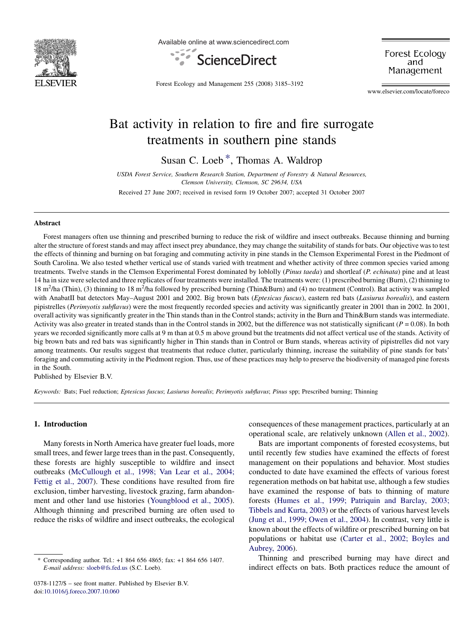

Available online at www.sciencedirect.com



Forest Ecology and Management

Forest Ecology and Management 255 (2008) 3185–3192

www.elsevier.com/locate/foreco

# Bat activity in relation to fire and fire surrogate treatments in southern pine stands

Susan C. Loeb \*, Thomas A. Waldrop

USDA Forest Service, Southern Research Station, Department of Forestry & Natural Resources, Clemson University, Clemson, SC 29634, USA

Received 27 June 2007; received in revised form 19 October 2007; accepted 31 October 2007

#### **Abstract**

Forest managers often use thinning and prescribed burning to reduce the risk of wildfire and insect outbreaks. Because thinning and burning alter the structure of forest stands and may affect insect prey abundance, they may change the suitability of stands for bats. Our objective was to test the effects of thinning and burning on bat foraging and commuting activity in pine stands in the Clemson Experimental Forest in the Piedmont of South Carolina. We also tested whether vertical use of stands varied with treatment and whether activity of three common species varied among treatments. Twelve stands in the Clemson Experimental Forest dominated by loblolly (Pinus taeda) and shortleaf (P. echinata) pine and at least 14 ha in size were selected and three replicates of four treatments were installed. The treatments were: (1) prescribed burning (Burn), (2) thinning to 18 m<sup>2</sup>/ha (Thin), (3) thinning to 18 m<sup>2</sup>/ha followed by prescribed burning (Thin&Burn) and (4) no treatment (Control). Bat activity was sampled with AnabatII bat detectors May–August 2001 and 2002. Big brown bats (Eptesicus fuscus), eastern red bats (Lasiurus borealis), and eastern pipistrelles (Perimyotis subflavus) were the most frequently recorded species and activity was significantly greater in 2001 than in 2002. In 2001, overall activity was significantly greater in the Thin stands than in the Control stands; activity in the Burn and Thin&Burn stands was intermediate. Activity was also greater in treated stands than in the Control stands in 2002, but the difference was not statistically significant ( $P = 0.08$ ). In both years we recorded significantly more calls at 9 m than at 0.5 m above ground but the treatments did not affect vertical use of the stands. Activity of big brown bats and red bats was significantly higher in Thin stands than in Control or Burn stands, whereas activity of pipistrelles did not vary among treatments. Our results suggest that treatments that reduce clutter, particularly thinning, increase the suitability of pine stands for bats' foraging and commuting activity in the Piedmont region. Thus, use of these practices may help to preserve the biodiversity of managed pine forests in the South.

Published by Elsevier B.V.

Keywords: Bats; Fuel reduction; Eptesicus fuscus; Lasiurus borealis; Perimyotis subflavus; Pinus spp; Prescribed burning; Thinning

## 1. Introduction

Many forests in North America have greater fuel loads, more small trees, and fewer large trees than in the past. Consequently, these forests are highly susceptible to wildfire and insect outbreaks [\(McCullough et al., 1998; Van Lear et al., 2004;](#page-6-0) [Fettig et al., 2007\)](#page-6-0). These conditions have resulted from fire exclusion, timber harvesting, livestock grazing, farm abandonment and other land use histories [\(Youngblood et al., 2005\)](#page-7-0). Although thinning and prescribed burning are often used to reduce the risks of wildfire and insect outbreaks, the ecological

consequences of these management practices, particularly at an operational scale, are relatively unknown [\(Allen et al., 2002\)](#page-6-0).

Bats are important components of forested ecosystems, but until recently few studies have examined the effects of forest management on their populations and behavior. Most studies conducted to date have examined the effects of various forest regeneration methods on bat habitat use, although a few studies have examined the response of bats to thinning of mature forests ([Humes et al., 1999; Patriquin and Barclay, 2003;](#page-6-0) [Tibbels and Kurta, 2003](#page-6-0)) or the effects of various harvest levels ([Jung et al., 1999; Owen et al., 2004](#page-6-0)). In contrast, very little is known about the effects of wildfire or prescribed burning on bat populations or habitat use [\(Carter et al., 2002; Boyles and](#page-6-0) [Aubrey, 2006\)](#page-6-0).

Thinning and prescribed burning may have direct and indirect effects on bats. Both practices reduce the amount of

Corresponding author. Tel.: +1 864 656 4865; fax: +1 864 656 1407. E-mail address: [sloeb@fs.fed.us](mailto:sloeb@fs.fed.us) (S.C. Loeb).

<sup>0378-1127/\$ –</sup> see front matter. Published by Elsevier B.V. doi:[10.1016/j.foreco.2007.10.060](http://dx.doi.org/10.1016/j.foreco.2007.10.060)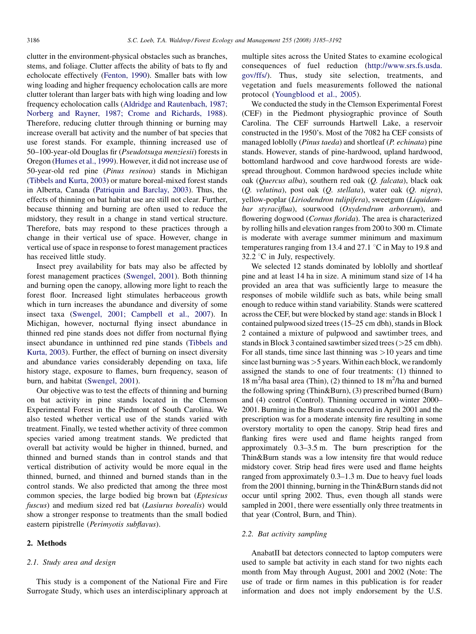clutter in the environment-physical obstacles such as branches, stems, and foliage. Clutter affects the ability of bats to fly and echolocate effectively ([Fenton, 1990\)](#page-6-0). Smaller bats with low wing loading and higher frequency echolocation calls are more clutter tolerant than larger bats with high wing loading and low frequency echolocation calls [\(Aldridge and Rautenbach, 1987;](#page-6-0) [Norberg and Rayner, 1987; Crome and Richards, 1988\)](#page-6-0). Therefore, reducing clutter through thinning or burning may increase overall bat activity and the number of bat species that use forest stands. For example, thinning increased use of 50–100-year-old Douglas fir (Pseudotsuga menziesii) forests in Oregon ([Humes et al., 1999](#page-6-0)). However, it did not increase use of 50-year-old red pine (Pinus resinoa) stands in Michigan ([Tibbels and Kurta, 2003](#page-7-0)) or mature boreal-mixed forest stands in Alberta, Canada ([Patriquin and Barclay, 2003](#page-7-0)). Thus, the effects of thinning on bat habitat use are still not clear. Further, because thinning and burning are often used to reduce the midstory, they result in a change in stand vertical structure. Therefore, bats may respond to these practices through a change in their vertical use of space. However, change in vertical use of space in response to forest management practices has received little study.

Insect prey availability for bats may also be affected by forest management practices ([Swengel, 2001\)](#page-7-0). Both thinning and burning open the canopy, allowing more light to reach the forest floor. Increased light stimulates herbaceous growth which in turn increases the abundance and diversity of some insect taxa ([Swengel, 2001; Campbell et al., 2007\)](#page-7-0). In Michigan, however, nocturnal flying insect abundance in thinned red pine stands does not differ from nocturnal flying insect abundance in unthinned red pine stands [\(Tibbels and](#page-7-0) [Kurta, 2003\)](#page-7-0). Further, the effect of burning on insect diversity and abundance varies considerably depending on taxa, life history stage, exposure to flames, burn frequency, season of burn, and habitat [\(Swengel, 2001\)](#page-7-0).

Our objective was to test the effects of thinning and burning on bat activity in pine stands located in the Clemson Experimental Forest in the Piedmont of South Carolina. We also tested whether vertical use of the stands varied with treatment. Finally, we tested whether activity of three common species varied among treatment stands. We predicted that overall bat activity would be higher in thinned, burned, and thinned and burned stands than in control stands and that vertical distribution of activity would be more equal in the thinned, burned, and thinned and burned stands than in the control stands. We also predicted that among the three most common species, the large bodied big brown bat (Eptesicus fuscus) and medium sized red bat (Lasiurus borealis) would show a stronger response to treatments than the small bodied eastern pipistrelle (Perimyotis subflavus).

## 2. Methods

### 2.1. Study area and design

This study is a component of the National Fire and Fire Surrogate Study, which uses an interdisciplinary approach at multiple sites across the United States to examine ecological consequences of fuel reduction [\(http://www.srs.fs.usda.](http://www.srs.fs.usda.gov/ffs/) [gov/ffs/](http://www.srs.fs.usda.gov/ffs/)). Thus, study site selection, treatments, and vegetation and fuels measurements followed the national protocol [\(Youngblood et al., 2005](#page-7-0)).

We conducted the study in the Clemson Experimental Forest (CEF) in the Piedmont physiographic province of South Carolina. The CEF surrounds Hartwell Lake, a reservoir constructed in the 1950's. Most of the 7082 ha CEF consists of managed loblolly (Pinus taeda) and shortleaf (P. echinata) pine stands. However, stands of pine-hardwood, upland hardwood, bottomland hardwood and cove hardwood forests are widespread throughout. Common hardwood species include white oak (Quercus alba), southern red oak (Q. falcata), black oak (Q. velutina), post oak (Q. stellata), water oak (Q. nigra), yellow-poplar (Liriodendron tulipifera), sweetgum (Liquidambar styraciflua), sourwood (Oxydendrum arboreum), and flowering dogwood (Cornus florida). The area is characterized by rolling hills and elevation ranges from 200 to 300 m. Climate is moderate with average summer minimum and maximum temperatures ranging from 13.4 and 27.1  $\degree$ C in May to 19.8 and 32.2  $\degree$ C in July, respectively.

We selected 12 stands dominated by loblolly and shortleaf pine and at least 14 ha in size. A minimum stand size of 14 ha provided an area that was sufficiently large to measure the responses of mobile wildlife such as bats, while being small enough to reduce within stand variability. Stands were scattered across the CEF, but were blocked by stand age: stands in Block 1 contained pulpwood sized trees (15–25 cm dbh), stands in Block 2 contained a mixture of pulpwood and sawtimber trees, and stands in Block 3 contained sawtimber sized trees (>25 cm dbh). For all stands, time since last thinning was  $>10$  years and time since last burning was  $>$  5 years. Within each block, we randomly assigned the stands to one of four treatments: (1) thinned to  $18 \text{ m}^2$ /ha basal area (Thin), (2) thinned to  $18 \text{ m}^2$ /ha and burned the following spring (Thin&Burn), (3) prescribed burned (Burn) and (4) control (Control). Thinning occurred in winter 2000– 2001. Burning in the Burn stands occurred in April 2001 and the prescription was for a moderate intensity fire resulting in some overstory mortality to open the canopy. Strip head fires and flanking fires were used and flame heights ranged from approximately 0.3–3.5 m. The burn prescription for the Thin&Burn stands was a low intensity fire that would reduce midstory cover. Strip head fires were used and flame heights ranged from approximately 0.3–1.3 m. Due to heavy fuel loads from the 2001 thinning, burning in the Thin&Burn stands did not occur until spring 2002. Thus, even though all stands were sampled in 2001, there were essentially only three treatments in that year (Control, Burn, and Thin).

#### 2.2. Bat activity sampling

AnabatII bat detectors connected to laptop computers were used to sample bat activity in each stand for two nights each month from May through August, 2001 and 2002 (Note: The use of trade or firm names in this publication is for reader information and does not imply endorsement by the U.S.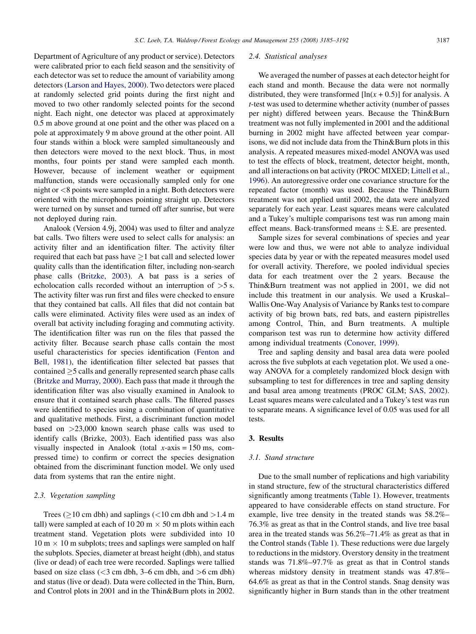Department of Agriculture of any product or service). Detectors were calibrated prior to each field season and the sensitivity of each detector was set to reduce the amount of variability among detectors [\(Larson and Hayes, 2000\)](#page-6-0). Two detectors were placed at randomly selected grid points during the first night and moved to two other randomly selected points for the second night. Each night, one detector was placed at approximately 0.5 m above ground at one point and the other was placed on a pole at approximately 9 m above ground at the other point. All four stands within a block were sampled simultaneously and then detectors were moved to the next block. Thus, in most months, four points per stand were sampled each month. However, because of inclement weather or equipment malfunction, stands were occasionally sampled only for one night or <8 points were sampled in a night. Both detectors were oriented with the microphones pointing straight up. Detectors were turned on by sunset and turned off after sunrise, but were not deployed during rain.

Analook (Version 4.9j, 2004) was used to filter and analyze bat calls. Two filters were used to select calls for analysis: an activity filter and an identification filter. The activity filter required that each bat pass have  $\geq$ 1 bat call and selected lower quality calls than the identification filter, including non-search phase calls ([Britzke, 2003\)](#page-6-0). A bat pass is a series of echolocation calls recorded without an interruption of >5 s. The activity filter was run first and files were checked to ensure that they contained bat calls. All files that did not contain bat calls were eliminated. Activity files were used as an index of overall bat activity including foraging and commuting activity. The identification filter was run on the files that passed the activity filter. Because search phase calls contain the most useful characteristics for species identification [\(Fenton and](#page-6-0) [Bell, 1981](#page-6-0)), the identification filter selected bat passes that  $\text{contained} \geq 5 \text{ calls}$  and generally represented search phase calls ([Britzke and Murray, 2000\)](#page-6-0). Each pass that made it through the identification filter was also visually examined in Analook to ensure that it contained search phase calls. The filtered passes were identified to species using a combination of quantitative and qualitative methods. First, a discriminant function model based on >23,000 known search phase calls was used to identify calls (Brizke, 2003). Each identified pass was also visually inspected in Analook (total  $x$ -axis = 150 ms, compressed time) to confirm or correct the species designation obtained from the discriminant function model. We only used data from systems that ran the entire night.

#### 2.3. Vegetation sampling

Trees ( $\geq$ 10 cm dbh) and saplings (<10 cm dbh and >1.4 m tall) were sampled at each of 10 20 m  $\times$  50 m plots within each treatment stand. Vegetation plots were subdivided into 10  $10 \text{ m} \times 10 \text{ m}$  subplots; trees and saplings were sampled on half the subplots. Species, diameter at breast height (dbh), and status (live or dead) of each tree were recorded. Saplings were tallied based on size class  $(<$ 3 cm dbh, 3–6 cm dbh, and  $>$ 6 cm dbh) and status (live or dead). Data were collected in the Thin, Burn, and Control plots in 2001 and in the Thin&Burn plots in 2002.

## 2.4. Statistical analyses

We averaged the number of passes at each detector height for each stand and month. Because the data were not normally distributed, they were transformed  $[\ln(x + 0.5)]$  for analysis. A t-test was used to determine whether activity (number of passes per night) differed between years. Because the Thin&Burn treatment was not fully implemented in 2001 and the additional burning in 2002 might have affected between year comparisons, we did not include data from the Thin&Burn plots in this analysis. A repeated measures mixed-model ANOVA was used to test the effects of block, treatment, detector height, month, and all interactions on bat activity (PROC MIXED; [Littell et al.,](#page-6-0) [1996](#page-6-0)). An autoregressive order one covariance structure for the repeated factor (month) was used. Because the Thin&Burn treatment was not applied until 2002, the data were analyzed separately for each year. Least squares means were calculated and a Tukey's multiple comparisons test was run among main effect means. Back-transformed means  $\pm$  S.E. are presented.

Sample sizes for several combinations of species and year were low and thus, we were not able to analyze individual species data by year or with the repeated measures model used for overall activity. Therefore, we pooled individual species data for each treatment over the 2 years. Because the Thin&Burn treatment was not applied in 2001, we did not include this treatment in our analysis. We used a Kruskal– Wallis One-Way Analysis of Variance by Ranks test to compare activity of big brown bats, red bats, and eastern pipistrelles among Control, Thin, and Burn treatments. A multiple comparison test was run to determine how activity differed among individual treatments [\(Conover, 1999\)](#page-6-0).

Tree and sapling density and basal area data were pooled across the five subplots at each vegetation plot. We used a oneway ANOVA for a completely randomized block design with subsampling to test for differences in tree and sapling density and basal area among treatments (PROC GLM; [SAS, 2002\)](#page-7-0). Least squares means were calculated and a Tukey's test was run to separate means. A significance level of 0.05 was used for all tests.

## 3. Results

## 3.1. Stand structure

Due to the small number of replications and high variability in stand structure, few of the structural characteristics differed significantly among treatments [\(Table 1](#page-3-0)). However, treatments appeared to have considerable effects on stand structure. For example, live tree density in the treated stands was 58.2%– 76.3% as great as that in the Control stands, and live tree basal area in the treated stands was 56.2%–71.4% as great as that in the Control stands [\(Table 1\)](#page-3-0). These reductions were due largely to reductions in the midstory. Overstory density in the treatment stands was 71.8%–97.7% as great as that in Control stands whereas midstory density in treatment stands was 47.8%– 64.6% as great as that in the Control stands. Snag density was significantly higher in Burn stands than in the other treatment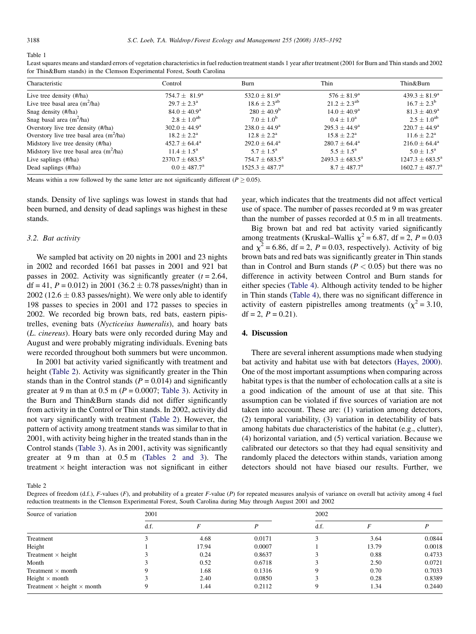<span id="page-3-0"></span>Table 1

| Tor Thin&Burn stands) in the Clemson Experimental Forest, South Carolina |                          |                          |                          |                          |  |  |  |
|--------------------------------------------------------------------------|--------------------------|--------------------------|--------------------------|--------------------------|--|--|--|
| Characteristic                                                           | Control                  | <b>Burn</b>              | Thin                     | Thin&Burn                |  |  |  |
| Live tree density (#/ha)                                                 | $754.7 \pm 81.9^{\rm a}$ | $532.0 \pm 81.9^{\rm a}$ | $576 \pm 81.9^{\rm a}$   | $439.3 \pm 81.9^a$       |  |  |  |
| Live tree basal area $(m^2/ha)$                                          | $29.7 \pm 2.3^{\circ}$   | $18.6 \pm 2.3^{ab}$      | $21.2 + 2.3^{ab}$        | $16.7 + 2.3^b$           |  |  |  |
| Snag density (#/ha)                                                      | $84.0 \pm 40.9^{\rm a}$  | $280 + 40.9^{\rm b}$     | $14.0 \pm 40.9^{\rm a}$  | $81.3 \pm 40.9^{\rm a}$  |  |  |  |
| Snag basal area $(m^2/ha)$                                               | $2.8 + 1.0^{ab}$         | $7.0 + 1.0^{b}$          | $0.4 + 1.0^a$            | $2.5 + 1.0^{ab}$         |  |  |  |
| Overstory live tree density (#/ha)                                       | $302.0 \pm 44.9^{\circ}$ | $238.0 \pm 44.9^{\circ}$ | $295.3 \pm 44.9^{\circ}$ | $220.7 \pm 44.9^{\circ}$ |  |  |  |
| Overstory live tree basal area $(m^2/ha)$                                | $18.2 \pm 2.2^{\rm a}$   | $12.8 \pm 2.2^{\rm a}$   | $15.8 \pm 2.2^{\rm a}$   | $11.6 \pm 2.2^{\rm a}$   |  |  |  |
| Midstory live tree density (#/ha)                                        | $452.7 \pm 64.4^{\circ}$ | $292.0 \pm 64.4^{\circ}$ | $280.7 \pm 64.4^{\circ}$ | $216.0 \pm 64.4^{\circ}$ |  |  |  |
| Midstory live tree basal area $(m^2/ha)$                                 | $11.4 \pm 1.5^{\circ}$   | $5.7 \pm 1.5^{\rm a}$    | $5.5 \pm 1.5^{\circ}$    | $5.0 + 1.5^{\rm a}$      |  |  |  |

Live saplings (#/ha) 2370.7  $\pm$  683.5<sup>a</sup> 754.7  $\pm$  683.5<sup>a</sup> 2493.3  $\pm$  683.5<sup>a</sup> 1247.3  $\pm$  683.5<sup>a</sup> Dead saplings (#/ha) 0.0  $\pm$  487.7<sup>a</sup> 1525.3  $\pm$  487.7<sup>a</sup> 8.7  $\pm$  487.7<sup>a</sup> 1602.7  $\pm$  487.7<sup>a</sup>

Least squares means and standard errors of vegetation characteristics in fuel reduction treatment stands 1 year after treatment (2001 for Burn and Thin stands and 2002 for Thin&Burn stands) in the Clemson Experimental Forest, South Carolina

Means within a row followed by the same letter are not significantly different ( $P \ge 0.05$ ).

stands. Density of live saplings was lowest in stands that had been burned, and density of dead saplings was highest in these stands.

#### 3.2. Bat activity

We sampled bat activity on 20 nights in 2001 and 23 nights in 2002 and recorded 1661 bat passes in 2001 and 921 bat passes in 2002. Activity was significantly greater  $(t = 2.64$ , df = 41,  $P = 0.012$ ) in 2001 (36.2  $\pm$  0.78 passes/night) than in 2002 (12.6  $\pm$  0.83 passes/night). We were only able to identify 198 passes to species in 2001 and 172 passes to species in 2002. We recorded big brown bats, red bats, eastern pipistrelles, evening bats (Nycticeius humeralis), and hoary bats (L. cinereus). Hoary bats were only recorded during May and August and were probably migrating individuals. Evening bats were recorded throughout both summers but were uncommon.

In 2001 bat activity varied significantly with treatment and height (Table 2). Activity was significantly greater in the Thin stands than in the Control stands ( $P = 0.014$ ) and significantly greater at 9 m than at 0.5 m ( $P = 0.0007$ ; [Table 3\)](#page-4-0). Activity in the Burn and Thin&Burn stands did not differ significantly from activity in the Control or Thin stands. In 2002, activity did not vary significantly with treatment (Table 2). However, the pattern of activity among treatment stands was similar to that in 2001, with activity being higher in the treated stands than in the Control stands ([Table 3](#page-4-0)). As in 2001, activity was significantly greater at 9 m than at 0.5 m (Tables 2 and 3). The treatment  $\times$  height interaction was not significant in either year, which indicates that the treatments did not affect vertical use of space. The number of passes recorded at 9 m was greater than the number of passes recorded at 0.5 m in all treatments.

Big brown bat and red bat activity varied significantly among treatments (Kruskal–Wallis  $\chi^2$  = 6.87, df = 2, P = 0.03 and  $\chi^2$  = 6.86, df = 2, P = 0.03, respectively). Activity of big brown bats and red bats was significantly greater in Thin stands than in Control and Burn stands ( $P < 0.05$ ) but there was no difference in activity between Control and Burn stands for either species ([Table 4\)](#page-4-0). Although activity tended to be higher in Thin stands [\(Table 4\)](#page-4-0), there was no significant difference in activity of eastern pipistrelles among treatments ( $\chi^2$  = 3.10,  $df = 2, P = 0.21$ .

## 4. Discussion

There are several inherent assumptions made when studying bat activity and habitat use with bat detectors [\(Hayes, 2000\)](#page-6-0). One of the most important assumptions when comparing across habitat types is that the number of echolocation calls at a site is a good indication of the amount of use at that site. This assumption can be violated if five sources of variation are not taken into account. These are: (1) variation among detectors, (2) temporal variability, (3) variation in detectability of bats among habitats due characteristics of the habitat (e.g., clutter), (4) horizontal variation, and (5) vertical variation. Because we calibrated our detectors so that they had equal sensitivity and randomly placed the detectors within stands, variation among detectors should not have biased our results. Further, we

Table 2

Degrees of freedom (d.f.), F-values (F), and probability of a greater F-value (P) for repeated measures analysis of variance on overall bat activity among 4 fuel reduction treatments in the Clemson Experimental Forest, South Carolina during May through August 2001 and 2002

| Source of variation                      | 2001 |       |        | 2002 |       |        |  |
|------------------------------------------|------|-------|--------|------|-------|--------|--|
|                                          | d.f. |       |        | d.f. |       |        |  |
| Treatment                                |      | 4.68  | 0.0171 |      | 3.64  | 0.0844 |  |
| Height                                   |      | 17.94 | 0.0007 |      | 13.79 | 0.0018 |  |
| Treatment $\times$ height                |      | 0.24  | 0.8637 |      | 0.88  | 0.4733 |  |
| Month                                    |      | 0.52  | 0.6718 |      | 2.50  | 0.0721 |  |
| Treatment $\times$ month                 |      | 1.68  | 0.1316 | 9    | 0.70  | 0.7033 |  |
| Height $\times$ month                    |      | 2.40  | 0.0850 |      | 0.28  | 0.8389 |  |
| Treatment $\times$ height $\times$ month |      | 1.44  | 0.2112 | Q    | 1.34  | 0.2440 |  |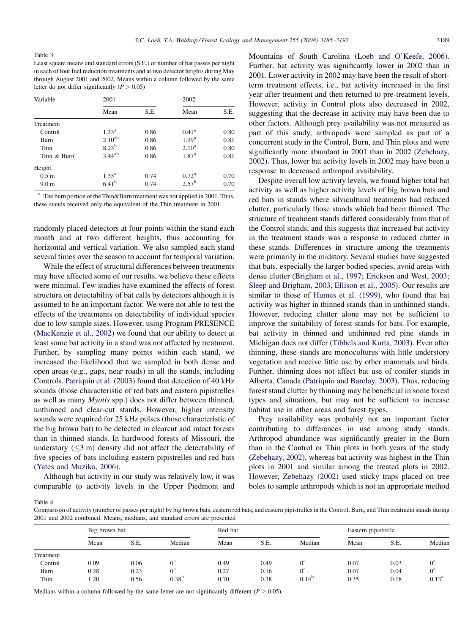<span id="page-4-0"></span>Table 3

Least square means and standard errors (S.E.) of number of bat passes per night in each of four fuel reduction treatments and at two detector heights during May through August 2001 and 2002. Means within a column followed by the same letter do not differ significantly  $(P > 0.05)$ 

| Variable                 | 2001              |      | 2002              |      |  |
|--------------------------|-------------------|------|-------------------|------|--|
|                          | Mean              | S.E. | Mean              | S.E. |  |
| Treatment                |                   |      |                   |      |  |
| Control                  | $1.33^{\rm a}$    | 0.86 | $0.41^{\rm a}$    | 0.80 |  |
| Burn                     | $2.10^{ab}$       | 0.86 | 1.99 <sup>a</sup> | 0.81 |  |
| Thin                     | $8.23^{b}$        | 0.86 | $2.10^{\rm a}$    | 0.80 |  |
| Thin & Burn <sup>a</sup> | $3.44^{ab}$       | 0.86 | 1.87 <sup>a</sup> | 0.81 |  |
| Height                   |                   |      |                   |      |  |
| 0.5 <sub>m</sub>         | $1.35^{\rm a}$    | 0.74 | $0.72^{\rm a}$    | 0.70 |  |
| 9.0 <sub>m</sub>         | 6.41 <sup>b</sup> | 0.74 | 2.57 <sup>b</sup> | 0.70 |  |

<sup>a</sup> The burn portion of the Thin & Burn treatment was not applied in 2001. Thus, these stands received only the equivalent of the Thin treatment in 2001.

randomly placed detectors at four points within the stand each month and at two different heights, thus accounting for horizontal and vertical variation. We also sampled each stand several times over the season to account for temporal variation.

While the effect of structural differences between treatments may have affected some of our results, we believe these effects were minimal. Few studies have examined the effects of forest structure on detectability of bat calls by detectors although it is assumed to be an important factor. We were not able to test the effects of the treatments on detectability of individual species due to low sample sizes. However, using Program PRESENCE ([MacKenzie et al., 2002\)](#page-6-0) we found that our ability to detect at least some bat activity in a stand was not affected by treatment. Further, by sampling many points within each stand, we increased the likelihood that we sampled in both dense and open areas (e.g., gaps, near roads) in all the stands, including Controls. [Patriquin et al. \(2003\)](#page-7-0) found that detection of 40 kHz sounds (those characteristic of red bats and eastern pipistrelles as well as many Myotis spp.) does not differ between thinned, unthinned and clear-cut stands. However, higher intensity sounds were required for 25 kHz pulses (those characteristic of the big brown bat) to be detected in clearcut and intact forests than in thinned stands. In hardwood forests of Missouri, the understory  $( $3 \text{ m}$ )$  density did not affect the detectability of five species of bats including eastern pipistrelles and red bats ([Yates and Muzika, 2006](#page-7-0)).

Although bat activity in our study was relatively low, it was comparable to activity levels in the Upper Piedmont and Mountains of South Carolina [\(Loeb and O'Keefe, 2006\)](#page-6-0). Further, bat activity was significantly lower in 2002 than in 2001. Lower activity in 2002 may have been the result of shortterm treatment effects, i.e., bat activity increased in the first year after treatment and then returned to pre-treatment levels. However, activity in Control plots also decreased in 2002, suggesting that the decrease in activity may have been due to other factors. Although prey availability was not measured as part of this study, arthropods were sampled as part of a concurrent study in the Control, Burn, and Thin plots and were significantly more abundant in 2001 than in 2002 ([Zebehazy,](#page-7-0) [2002](#page-7-0)). Thus, lower bat activity levels in 2002 may have been a response to decreased arthropod availability.

Despite overall low activity levels, we found higher total bat activity as well as higher activity levels of big brown bats and red bats in stands where silvicultural treatments had reduced clutter, particularly those stands which had been thinned. The structure of treatment stands differed considerably from that of the Control stands, and this suggests that increased bat activity in the treatment stands was a response to reduced clutter in these stands. Differences in structure among the treatments were primarily in the midstory. Several studies have suggested that bats, especially the larger bodied species, avoid areas with dense clutter [\(Brigham et al., 1997; Erickson and West, 2003;](#page-6-0) [Sleep and Brigham, 2003,](#page-6-0) [Ellison et al., 2005\)](#page-6-0). Our results are similar to those of [Humes et al. \(1999\)](#page-6-0), who found that bat activity was higher in thinned stands than in unthinned stands. However, reducing clutter alone may not be sufficient to improve the suitability of forest stands for bats. For example, bat activity in thinned and unthinned red pine stands in Michigan does not differ [\(Tibbels and Kurta, 2003\)](#page-7-0). Even after thinning, these stands are monocultures with little understory vegetation and receive little use by other mammals and birds. Further, thinning does not affect bat use of conifer stands in Alberta, Canada ([Patriquin and Barclay, 2003](#page-7-0)). Thus, reducing forest stand clutter by thinning may be beneficial in some forest types and situations, but may not be sufficient to increase habitat use in other areas and forest types.

Prey availability was probably not an important factor contributing to differences in use among study stands. Arthropod abundance was significantly greater in the Burn than in the Control or Thin plots in both years of the study ([Zebehazy, 2002](#page-7-0)), whereas bat activity was highest in the Thin plots in 2001 and similar among the treated plots in 2002. However, [Zebehazy \(2002\)](#page-7-0) used sticky traps placed on tree boles to sample arthropods which is not an appropriate method

Table 4

Comparison of activity (number of passes per night) by big brown bats, eastern red bats, and eastern pipistrelles in the Control, Burn, and Thin treatment stands during 2001 and 2002 combined. Means, medians, and standard errors are presented

|           | Big brown bat |      | Red bat     |      |      | Eastern pipistrelle |      |      |                |
|-----------|---------------|------|-------------|------|------|---------------------|------|------|----------------|
|           | Mean          | S.E. | Median      | Mean | S.E. | Median              | Mean | S.E. | Median         |
| Treatment |               |      |             |      |      |                     |      |      |                |
| Control   | 0.09          | 0.06 | ∩ª          | 0.49 | 0.49 | $0^{\rm a}$         | 0.07 | 0.03 | $0^{\rm a}$    |
| Burn      | 0.28          | 0.23 | $0^{\rm a}$ | 0.27 | 0.16 | $0^{\rm a}$         | 0.07 | 0.04 | $0^{\rm a}$    |
| Thin      | 1.20          | 0.56 | $0.38^{b}$  | 0.70 | 0.38 | $0.14^{b}$          | 0.35 | 0.18 | $0.13^{\rm a}$ |

Medians within a column followed by the same letter are not significantly different ( $P \ge 0.05$ ).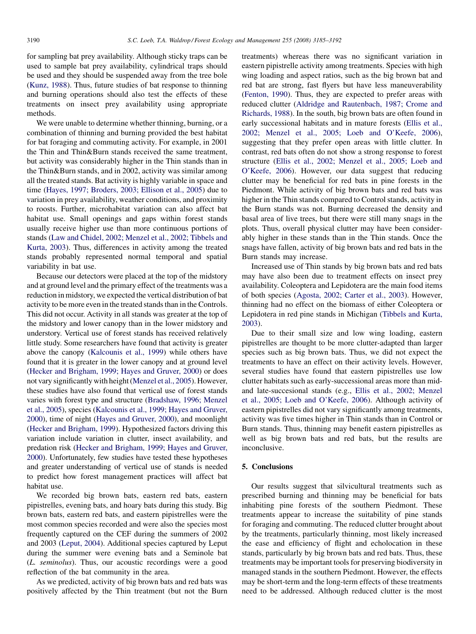for sampling bat prey availability. Although sticky traps can be used to sample bat prey availability, cylindrical traps should be used and they should be suspended away from the tree bole ([Kunz, 1988](#page-6-0)). Thus, future studies of bat response to thinning and burning operations should also test the effects of these treatments on insect prey availability using appropriate methods.

We were unable to determine whether thinning, burning, or a combination of thinning and burning provided the best habitat for bat foraging and commuting activity. For example, in 2001 the Thin and Thin&Burn stands received the same treatment, but activity was considerably higher in the Thin stands than in the Thin&Burn stands, and in 2002, activity was similar among all the treated stands. Bat activity is highly variable in space and time ([Hayes, 1997; Broders, 2003; Ellison et al., 2005](#page-6-0)) due to variation in prey availability, weather conditions, and proximity to roosts. Further, microhabitat variation can also affect bat habitat use. Small openings and gaps within forest stands usually receive higher use than more continuous portions of stands [\(Law and Chidel, 2002; Menzel et al., 2002; Tibbels and](#page-6-0) [Kurta, 2003](#page-6-0)). Thus, differences in activity among the treated stands probably represented normal temporal and spatial variability in bat use.

Because our detectors were placed at the top of the midstory and at ground level and the primary effect of the treatments was a reduction in midstory, we expected the vertical distribution of bat activity to be more even in the treated stands than in the Controls. This did not occur. Activity in all stands was greater at the top of the midstory and lower canopy than in the lower midstory and understory. Vertical use of forest stands has received relatively little study. Some researchers have found that activity is greater above the canopy [\(Kalcounis et al., 1999\)](#page-6-0) while others have found that it is greater in the lower canopy and at ground level ([Hecker and Brigham, 1999; Hayes and Gruver, 2000](#page-6-0)) or does not vary significantly with height [\(Menzel et al., 2005\)](#page-6-0). However, these studies have also found that vertical use of forest stands varies with forest type and structure [\(Bradshaw, 1996; Menzel](#page-6-0) [et al., 2005](#page-6-0)), species ([Kalcounis et al., 1999; Hayes and Gruver,](#page-6-0) [2000](#page-6-0)), time of night ([Hayes and Gruver, 2000](#page-6-0)), and moonlight ([Hecker and Brigham, 1999\)](#page-6-0). Hypothesized factors driving this variation include variation in clutter, insect availability, and predation risk [\(Hecker and Brigham, 1999; Hayes and Gruver,](#page-6-0) [2000](#page-6-0)). Unfortunately, few studies have tested these hypotheses and greater understanding of vertical use of stands is needed to predict how forest management practices will affect bat habitat use.

We recorded big brown bats, eastern red bats, eastern pipistrelles, evening bats, and hoary bats during this study. Big brown bats, eastern red bats, and eastern pipistrelles were the most common species recorded and were also the species most frequently captured on the CEF during the summers of 2002 and 2003 ([Leput, 2004\)](#page-6-0). Additional species captured by Leput during the summer were evening bats and a Seminole bat (L. seminolus). Thus, our acoustic recordings were a good reflection of the bat community in the area.

As we predicted, activity of big brown bats and red bats was positively affected by the Thin treatment (but not the Burn treatments) whereas there was no significant variation in eastern pipistrelle activity among treatments. Species with high wing loading and aspect ratios, such as the big brown bat and red bat are strong, fast flyers but have less maneuverability [\(Fenton, 1990](#page-6-0)). Thus, they are expected to prefer areas with reduced clutter ([Aldridge and Rautenbach, 1987; Crome and](#page-6-0) [Richards, 1988\)](#page-6-0). In the south, big brown bats are often found in early successional habitats and in mature forests ([Ellis et al.,](#page-6-0) [2002; Menzel et al., 2005; Loeb and O'Keefe, 2006\)](#page-6-0), suggesting that they prefer open areas with little clutter. In contrast, red bats often do not show a strong response to forest structure ([Ellis et al., 2002; Menzel et al., 2005; Loeb and](#page-6-0) [O'Keefe, 2006](#page-6-0)). However, our data suggest that reducing clutter may be beneficial for red bats in pine forests in the Piedmont. While activity of big brown bats and red bats was higher in the Thin stands compared to Control stands, activity in the Burn stands was not. Burning decreased the density and basal area of live trees, but there were still many snags in the plots. Thus, overall physical clutter may have been considerably higher in these stands than in the Thin stands. Once the snags have fallen, activity of big brown bats and red bats in the Burn stands may increase.

Increased use of Thin stands by big brown bats and red bats may have also been due to treatment effects on insect prey availability. Coleoptera and Lepidotera are the main food items of both species [\(Agosta, 2002; Carter et al., 2003](#page-6-0)). However, thinning had no effect on the biomass of either Coleoptera or Lepidotera in red pine stands in Michigan ([Tibbels and Kurta,](#page-7-0) [2003\)](#page-7-0).

Due to their small size and low wing loading, eastern pipistrelles are thought to be more clutter-adapted than larger species such as big brown bats. Thus, we did not expect the treatments to have an effect on their activity levels. However, several studies have found that eastern pipistrelles use low clutter habitats such as early-successional areas more than midand late-succesional stands (e.g., [Ellis et al., 2002; Menzel](#page-6-0) [et al., 2005; Loeb and O'Keefe, 2006](#page-6-0)). Although activity of eastern pipistrelles did not vary significantly among treatments, activity was five times higher in Thin stands than in Control or Burn stands. Thus, thinning may benefit eastern pipistrelles as well as big brown bats and red bats, but the results are inconclusive.

#### 5. Conclusions

Our results suggest that silvicultural treatments such as prescribed burning and thinning may be beneficial for bats inhabiting pine forests of the southern Piedmont. These treatments appear to increase the suitability of pine stands for foraging and commuting. The reduced clutter brought about by the treatments, particularly thinning, most likely increased the ease and efficiency of flight and echolocation in these stands, particularly by big brown bats and red bats. Thus, these treatments may be important tools for preserving biodiversity in managed stands in the southern Piedmont. However, the effects may be short-term and the long-term effects of these treatments need to be addressed. Although reduced clutter is the most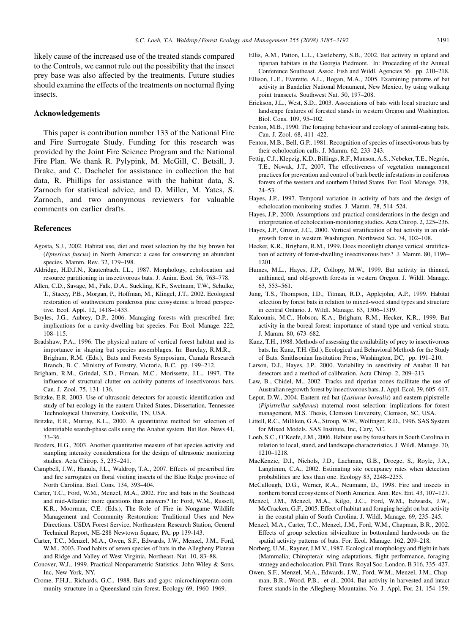<span id="page-6-0"></span>likely cause of the increased use of the treated stands compared to the Controls, we cannot rule out the possibility that the insect prey base was also affected by the treatments. Future studies should examine the effects of the treatments on nocturnal flying insects.

#### Acknowledgements

This paper is contribution number 133 of the National Fire and Fire Surrogate Study. Funding for this research was provided by the Joint Fire Science Program and the National Fire Plan. We thank R. Pylypink, M. McGill, C. Betsill, J. Drake, and C. Dachelet for assistance in collection the bat data, R. Phillips for assistance with the habitat data, S. Zarnoch for statistical advice, and D. Miller, M. Yates, S. Zarnoch, and two anonymous reviewers for valuable comments on earlier drafts.

## References

- Agosta, S.J., 2002. Habitat use, diet and roost selection by the big brown bat (Eptesicus fuscus) in North America: a case for conserving an abundant species. Mamm. Rev. 32, 179–198.
- Aldridge, H.D.J.N., Rautenbach, I.L., 1987. Morphology, echolocation and resource partitioning in insectivorous bats. J. Anim. Ecol. 56, 763–778.
- Allen, C.D., Savage, M., Falk, D.A., Suckling, K.F., Swetnam, T.W., Schulke, T., Stacey, P.B., Morgan, P., Hoffman, M., Klingel, J.T., 2002. Ecological restoration of southwestern ponderosa pine ecosystems: a broad perspective. Ecol. Appl. 12, 1418–1433.
- Boyles, J.G., Aubrey, D.P., 2006. Managing forests with prescribed fire: implications for a cavity-dwelling bat species. For. Ecol. Manage. 222, 108–115.
- Bradshaw, P.A., 1996. The physical nature of vertical forest habitat and its importance in shaping bat species assemblages. In: Barclay, R.M.R., Brigham, R.M. (Eds.), Bats and Forests Symposium, Canada Research Branch, B. C. Ministry of Forestry, Victoria, B.C, pp. 199–212.
- Brigham, R.M., Grindal, S.D., Firman, M.C., Morissette, J.L., 1997. The influence of structural clutter on activity patterns of insectivorous bats. Can. J. Zool. 75, 131–136.
- Britzke, E.R. 2003. Use of ultrasonic detectors for acoustic identification and study of bat ecology in the eastern United States, Dissertation, Tennessee Technological University, Cookville, TN, USA.
- Britzke, E.R., Murray, K.L., 2000. A quantitative method for selection of identifiable search-phase calls using the Anabat system. Bat Res. News 41, 33–36.
- Broders, H.G., 2003. Another quantitative measure of bat species activity and sampling intensity considerations for the design of ultrasonic monitoring studies. Acta Chirop. 5, 235–241.
- Campbell, J.W., Hanula, J.L., Waldrop, T.A., 2007. Effects of prescribed fire and fire surrogates on floral visiting insects of the Blue Ridge province of North Carolina. Biol. Cons. 134, 393–404.
- Carter, T.C., Ford, W.M., Menzel, M.A., 2002. Fire and bats in the Southeast and mid-Atlantic: more questions than answers? In: Ford, W.M., Russell, K.R., Moorman, C.E. (Eds.), The Role of Fire in Nongame Wildlife Management and Community Restoration: Traditional Uses and New Directions. USDA Forest Service, Northeastern Research Station, General Technical Report, NE-288 Newtown Square, PA, pp 139-143.
- Carter, T.C., Menzel, M.A., Owen, S.F., Edwards, J.W., Menzel, J.M., Ford, W.M., 2003. Food habits of seven species of bats in the Allegheny Plateau and Ridge and Valley of West Virginia. Northeast. Nat. 10, 83–88.
- Conover, W.J., 1999. Practical Nonparametric Statistics. John Wiley & Sons, Inc, New York, NY.
- Crome, F.H.J., Richards, G.C., 1988. Bats and gaps: microchiropteran community structure in a Queensland rain forest. Ecology 69, 1960–1969.
- Ellis, A.M., Patton, L.L., Castleberry, S.B., 2002. Bat activity in upland and riparian habitats in the Georgia Piedmont. In: Proceeding of the Annual Conference Southeast. Assoc. Fish and Wildl. Agencies 56. pp. 210–218.
- Ellison, L.E., Everette, A.L., Bogan, M.A., 2005. Examining patterns of bat activity in Bandelier National Monument, New Mexico, by using walking point transects. Southwest Nat. 50, 197–208.
- Erickson, J.L., West, S.D., 2003. Associations of bats with local structure and landscape features of forested stands in western Oregon and Washington. Biol. Cons. 109, 95–102.
- Fenton, M.B., 1990. The foraging behaviour and ecology of animal-eating bats. Can. J. Zool. 68, 411–422.
- Fenton, M.B., Bell, G.P., 1981. Recognition of species of insectivorous bats by their echolocation calls. J. Mamm. 62, 233–243.
- Fettig, C.J., Klepzig, K.D., Billings, R.F., Munson, A.S., Nebeker, T.E., Negrón, T.E., Nowak, J.T., 2007. The effectiveness of vegetation management practices for prevention and control of bark beetle infestations in coniferous forests of the western and southern United States. For. Ecol. Manage. 238, 24–53.
- Hayes, J.P., 1997. Temporal variation in activity of bats and the design of echolocation-monitoring studies. J. Mamm. 78, 514–524.
- Hayes, J.P., 2000. Assumptions and practical considerations in the design and interpretation of echolocation-monitoring studies. Acta Chirop. 2, 225–236.
- Hayes, J.P., Gruver, J.C., 2000. Vertical stratification of bat activity in an oldgrowth forest in western Washington. Northwest Sci. 74, 102–108.
- Hecker, K.R., Brigham, R.M., 1999. Does moonlight change vertical stratification of activity of forest-dwelling insectivorous bats? J. Mamm. 80, 1196– 1201.
- Humes, M.L., Hayes, J.P., Collopy, M.W., 1999. Bat activity in thinned, unthinned, and old-growth forests in western Oregon. J. Wildl. Manage. 63, 553–561.
- Jung, T.S., Thompson, I.D., Titman, R.D., Applejohn, A.P., 1999. Habitat selection by forest bats in relation to mixed-wood stand types and structure in central Ontario. J. Wildl. Manage. 63, 1306–1319.
- Kalcounis, M.C., Hobson, K.A., Brigham, R.M., Hecker, K.R., 1999. Bat activity in the boreal forest: importance of stand type and vertical strata. J. Mamm. 80, 673–682.
- Kunz, T.H., 1988. Methods of assessing the availability of prey to insectivorous bats. In: Kunz, T.H. (Ed.), Ecological and Behavioral Methods for the Study of Bats. Smithsonian Institution Press, Washington, DC, pp. 191–210.
- Larson, D.J., Hayes, J.P., 2000. Variability in sensitivity of Anabat II bat detectors and a method of calibration. Acta Chirop. 2, 209–213.
- Law, B., Chidel, M., 2002. Tracks and riparian zones facilitate the use of Australian regrowth forest by insectivorous bats. J. Appl. Ecol. 39, 605–617.
- Leput, D.W., 2004. Eastern red bat (Lasiurus borealis) and eastern pipistrelle (Pipistrellus subflavus) maternal roost selection: implications for forest management, M.S. Thesis, Clemson University, Clemson, SC, USA.
- Littell, R.C., Milliken, G.A., Stroup, W.W., Wolfinger, R.D., 1996. SAS System for Mixed Models. SAS Institute, Inc, Cary, NC.
- Loeb, S.C., O'Keefe, J.M., 2006. Habitat use by forest bats in South Carolina in relation to local, stand, and landscape characteristics. J. Wildl. Manage. 70, 1210–1218.
- MacKenzie, D.I., Nichols, J.D., Lachman, G.B., Droege, S., Royle, J.A., Langtimm, C.A., 2002. Estimating site occupancy rates when detection probabilities are less than one. Ecology 83, 2248–2255.
- McCullough, D.G., Werner, R.A., Neumann, D., 1998. Fire and insects in northern boreal ecosystems of North America. Ann. Rev. Ent. 43, 107–127.
- Menzel, J.M., Menzel, M.A., Kilgo, J.C., Ford, W.M., Edwards, J.W., McCracken, G.F., 2005. Effect of habitat and foraging height on bat activity in the coastal plain of South Carolina. J. Wildl. Manage. 69, 235–245.
- Menzel, M.A., Carter, T.C., Menzel, J.M., Ford, W.M., Chapman, B.R., 2002. Effects of group selection silviculture in bottomland hardwoods on the spatial activity patterns of bats. For. Ecol. Manage. 162, 209–218.
- Norberg, U.M., Rayner, J.M.V., 1987. Ecological morphology and flight in bats (Mammalia; Chiroptera): wing adaptations, flight performance, foraging strategy and echolocation. Phil. Trans. Royal Soc. London. B 316, 335–427.
- Owen, S.F., Menzel, M.A., Edwards, J.W., Ford, W.M., Menzel, J.M., Chapman, B.R., Wood, P.B., et al., 2004. Bat activity in harvested and intact forest stands in the Allegheny Mountains. No. J. Appl. For. 21, 154–159.